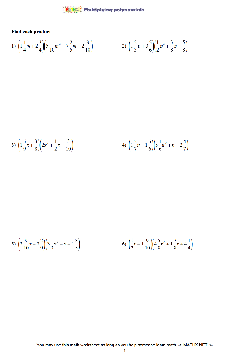$\frac{\mathsf{M} \otimes \mathsf{M} \mathsf{M}}{\mathsf{M} \otimes \mathsf{M} \otimes \mathsf{M}}$  Multiplying polynomials

Find each product.

1) 
$$
\left(1\frac{1}{4}m+2\frac{3}{4}\right)\left(5\frac{1}{10}m^2-7\frac{2}{5}m+2\frac{3}{10}\right)
$$
 2)  $\left(1\frac{2}{3}p+3\frac{5}{6}\right)\left(\frac{1}{2}p^2+\frac{3}{8}p-\frac{5}{8}\right)$ 

3) 
$$
\left(1\frac{5}{9}x + \frac{3}{8}\right)\left(2x^2 + \frac{1}{2}x - \frac{3}{10}\right)
$$
 4)  $\left(1\frac{2}{7}n - 1\frac{5}{6}\right)\left(5\frac{1}{6}n^2 + n - 2\frac{4}{7}\right)$ 

5) 
$$
\left(3\frac{9}{10}x - 2\frac{2}{9}\right)\left(3\frac{1}{3}x^2 - x - 1\frac{3}{5}\right)
$$
   
6)  $\left(\frac{1}{2}r - 1\frac{9}{10}\right)\left(4\frac{5}{8}r^2 + 1\frac{7}{8}r + 4\frac{1}{4}\right)$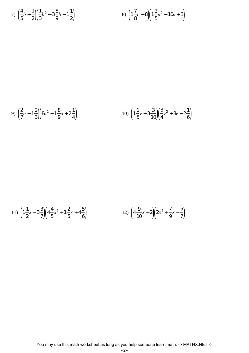7) 
$$
\left(\frac{4}{5}b + \frac{1}{2}\right)\left(\frac{1}{3}b^2 - 3\frac{5}{9}b - 1\frac{1}{2}\right)
$$
 8)  $\left(1\frac{7}{8}n + 8\right)\left(1\frac{3}{5}n^2 - 10n + 3\right)$ 

9) 
$$
\left(\frac{2}{7}a - 1\frac{2}{3}\right)\left(8a^2 + 1\frac{8}{9}a + 2\frac{1}{4}\right)
$$
   
10)  $\left(1\frac{1}{5}v + 3\frac{3}{10}\right)\left(\frac{3}{4}v^2 + 8v - 2\frac{1}{6}\right)$ 

11) 
$$
\left(1\frac{1}{2}x - 3\frac{3}{7}\right)\left(4\frac{4}{5}x^2 + 1\frac{2}{5}x + 4\frac{5}{6}\right)
$$
 12)  $\left(4\frac{9}{10}x + 2\right)\left(2x^2 + \frac{7}{9}x - \frac{5}{7}\right)$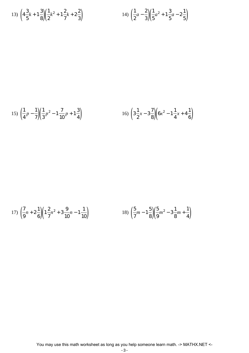13) 
$$
\left(4\frac{3}{5}k+1\frac{3}{8}\right)\left(\frac{1}{2}k^2+1\frac{2}{7}k+2\frac{2}{3}\right)
$$
   
14)  $\left(\frac{1}{2}a-\frac{2}{3}\right)\left(\frac{1}{5}a^2+1\frac{3}{5}a-2\frac{1}{5}\right)$ 

15) 
$$
\left(\frac{1}{4}p - \frac{1}{7}\right)\left(\frac{1}{3}p^2 - 1\frac{7}{10}p + 1\frac{3}{4}\right)
$$
   
16)  $\left(3\frac{1}{2}x - 3\frac{7}{8}\right)\left(6x^2 - 1\frac{1}{4}x + 4\frac{1}{6}\right)$ 

17) 
$$
\left(\frac{7}{9}n + 2\frac{1}{6}\right)\left(1\frac{2}{7}n^2 + 3\frac{9}{10}n - 1\frac{1}{10}\right)
$$
 18)  $\left(\frac{5}{7}m - 1\frac{5}{8}\right)\left(\frac{5}{9}m^2 - 3\frac{1}{8}m + \frac{1}{4}\right)$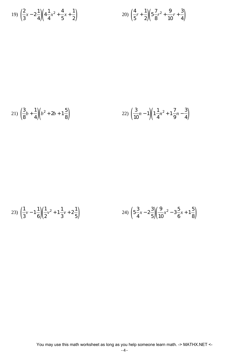19) 
$$
\left(\frac{2}{3}x - 2\frac{1}{4}\right)\left(4\frac{1}{4}x^2 + \frac{4}{5}x + \frac{1}{2}\right)
$$
  
20)  $\left(\frac{4}{5}r + \frac{1}{2}\right)\left(5\frac{7}{8}r^2 + \frac{9}{10}r + \frac{3}{4}\right)$ 

21) 
$$
\left(\frac{3}{8}b + \frac{1}{4}\right)\left(b^2 + 2b + 1\frac{5}{8}\right)
$$
 22)  $\left(\frac{3}{10}n - 1\right)\left(1\frac{1}{4}n^2 + 1\frac{7}{9}n - \frac{3}{4}\right)$ 

23) 
$$
\left(\frac{1}{3}v - 1\frac{1}{6}\right)\left(\frac{1}{2}v^2 + 1\frac{1}{3}v + 2\frac{1}{5}\right)
$$
  
24)  $\left(5\frac{3}{4}x - 2\frac{3}{5}\right)\left(\frac{9}{10}x^2 - 3\frac{5}{6}x + 1\frac{5}{8}\right)$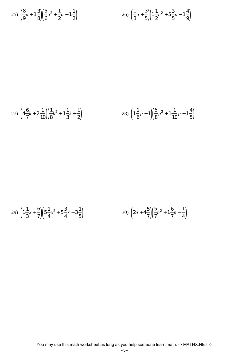25) 
$$
\left(\frac{8}{9}a + 1\frac{3}{8}\right)\left(\frac{5}{6}a^2 + \frac{1}{2}a - 1\frac{1}{2}\right)
$$
  
26)  $\left(\frac{1}{3}n + \frac{3}{5}\right)\left(1\frac{1}{2}n^2 + 5\frac{3}{5}n - 1\frac{4}{9}\right)$ 

27) 
$$
\left(4\frac{6}{7}k+2\frac{1}{10}\right)\left(\frac{1}{8}k^2+1\frac{1}{3}k+\frac{1}{2}\right)
$$
 28)  $\left(1\frac{1}{6}p-1\right)\left(\frac{5}{8}p^2+1\frac{1}{10}p-1\frac{4}{5}\right)$ 

29) 
$$
\left(1\frac{1}{3}x + \frac{6}{7}\right)\left(5\frac{1}{4}x^2 + 5\frac{3}{4}x - 3\frac{1}{5}\right)
$$
 30)  $\left(2n + 4\frac{5}{7}\right)\left(\frac{5}{7}n^2 + 1\frac{6}{7}n - \frac{1}{4}\right)$